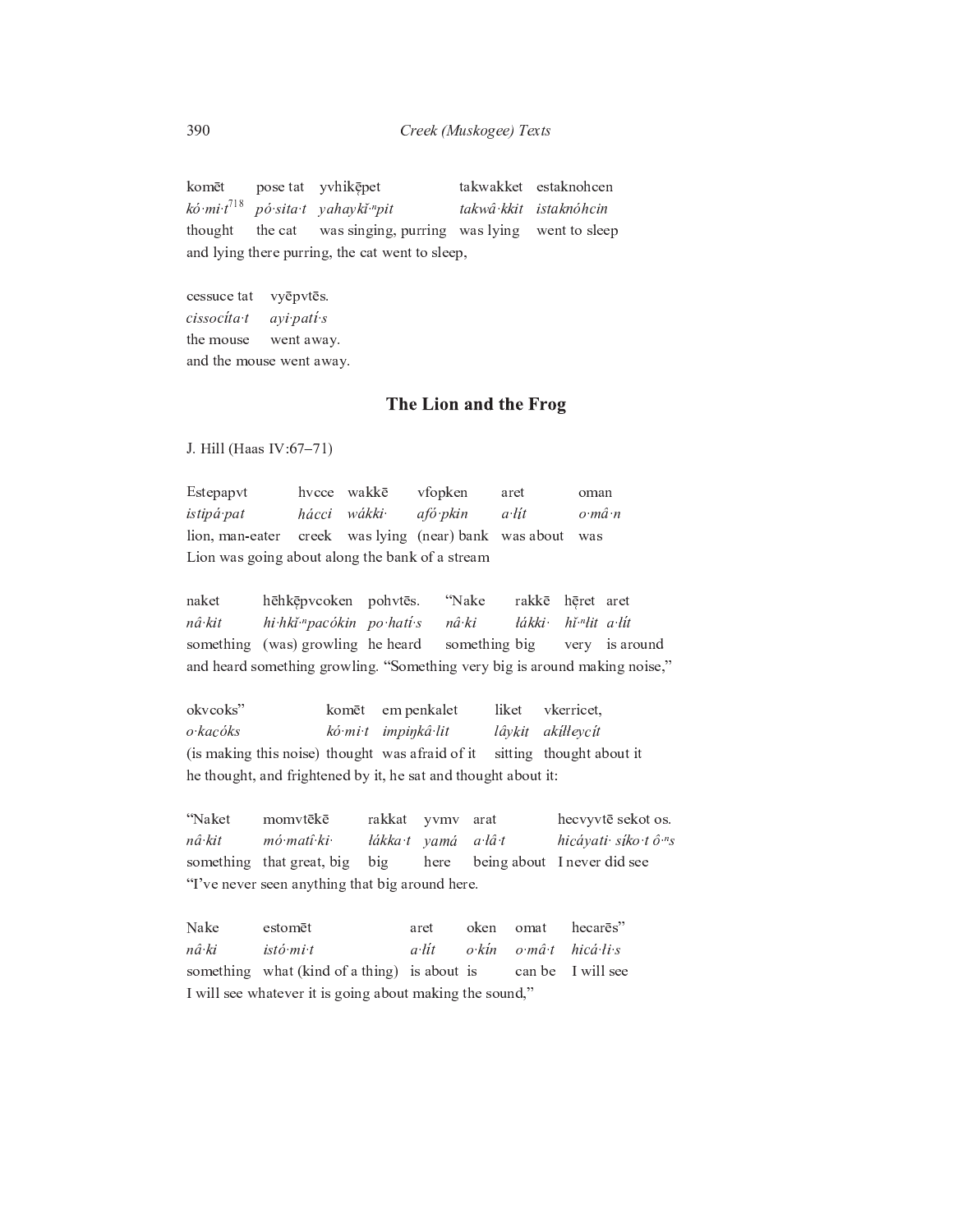takwakket estaknohcen komēt pose tat yvhikepet  $k\acute{o}$  mi  $t^{718}$ pó sita t yahayki "pit takwâ kkit istaknóhcin was singing, purring was lying went to sleep thought the cat and lying there purring, the cat went to sleep,

cessuce tat vyēpvtēs. cissocíta t ayi pati s the mouse went away. and the mouse went away.

## The Lion and the Frog

J. Hill (Haas IV:67-71)

Estepapvt hvcce wakkē vfopken aret oman hácci wákki istipá pat afó pkin a lít  $o$   $m\hat{a}$   $n$ lion, man-eater creek was lying (near) bank was about was Lion was going about along the bank of a stream

hēhkēpvcoken pohvtēs. naket "Nake rakkē hēret aret hi hki "pacókin po hatí s hǐ<sup>.n</sup>lit a lit nâ kit nâ·ki łákki something (was) growling he heard something big very is around and heard something growling. "Something very big is around making noise,"

okvcoks" komēt em penkalet liket vkerricet, lâykit akilleycít  $o$ ·kacóks kó mi t impinkâ lit (is making this noise) thought was afraid of it sitting thought about it he thought, and frightened by it, he sat and thought about it:

momvtēkē "Naket rakkat yvmv arat hecvyvtē sekot os. mó matî ki łákka t yamá nâ kit  $a \hat{a} t$ hicáyati síko tô "s something that great, big big here being about I never did see "I've never seen anything that big around here.

Nake oken hecares" estomēt aret omat nâ ki istó mi t  $a$ ·lít  $o\nmid$ kín  $hicá·li·s$  $o m\hat{a} t$ I will see something what (kind of a thing) is about is can be I will see whatever it is going about making the sound,"